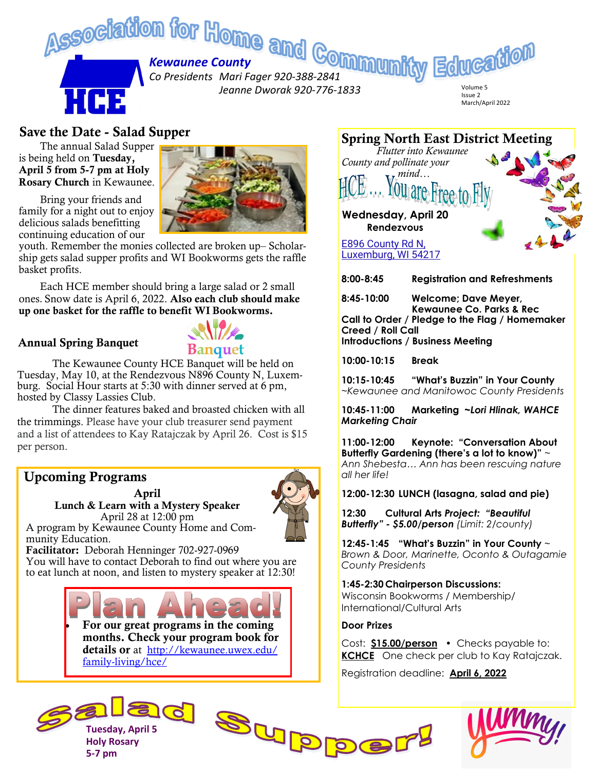

### Save the Date - Salad Supper

The annual Salad Supper is being held on Tuesday, April 5 from 5-7 pm at Holy Rosary Church in Kewaunee.

Bring your friends and family for a night out to enjoy delicious salads benefitting continuing education of our



youth. Remember the monies collected are broken up– Scholarship gets salad supper profits and WI Bookworms gets the raffle basket profits.

Each HCE member should bring a large salad or 2 small ones. Snow date is April 6, 2022. Also each club should make up one basket for the raffle to benefit WI Bookworms.

#### Annual Spring Banquet



The Kewaunee County HCE Banquet will be held on Tuesday, May 10, at the Rendezvous N896 County N, Luxemburg. Social Hour starts at 5:30 with dinner served at 6 pm, hosted by Classy Lassies Club.

The dinner features baked and broasted chicken with all the trimmings. Please have your club treasurer send payment and a list of attendees to Kay Ratajczak by April 26. Cost is \$15 per person.

## Upcoming Programs

April Lunch & Learn with a Mystery Speaker April 28 at 12:00 pm



A program by Kewaunee County Home and Community Education.

Facilitator: Deborah Henninger 702-927-0969 You will have to contact Deborah to find out where you are to eat lunch at noon, and listen to mystery speaker at 12:30!

> • For our great programs in the coming months. Check your program book for details or at [http://kewaunee.uwex.edu/](http://kewaunee.uwex.edu/family-living/hce/) [family-living/hce/](http://kewaunee.uwex.edu/family-living/hce/)



Spring North East District Meeting

*Flutter into Kewaunee* 

*County and pollinate your mind…*

**8:00-8:45 Registration and Refreshments**

**8:45-10:00 Welcome; Dave Meyer, Kewaunee Co. Parks & Rec Call to Order / Pledge to the Flag / Homemaker Creed / Roll Call Introductions / Business Meeting**

**10:00-10:15 Break**

**10:15-10:45 "What's Buzzin" in Your County**  *~Kewaunee and Manitowoc County Presidents*

**10:45-11:00 Marketing ~***Lori Hlinak, WAHCE Marketing Chair*

**11:00-12:00 Keynote: "Conversation About Butterfly Gardening (there's a lot to know)"** ~ *Ann Shebesta… Ann has been rescuing nature all her life!*

**12:00-12:30 LUNCH (lasagna, salad and pie)**

**12:30 Cultural Arts** *Project: "Beautiful Butterfly" - \$5.00/person (Limit: 2/county)*

**12:45-1:45 "What's Buzzin" in Your County** *~ Brown & Door, Marinette, Oconto & Outagamie County Presidents*

**1:45-2:30 Chairperson Discussions:**  Wisconsin Bookworms / Membership/ International/Cultural Arts

#### **Door Prizes**

Cost: **\$15.00/person** • Checks payable to: **KCHCE** One check per club to Kay Ratajczak.

Registration deadline: **April 6, 2022**





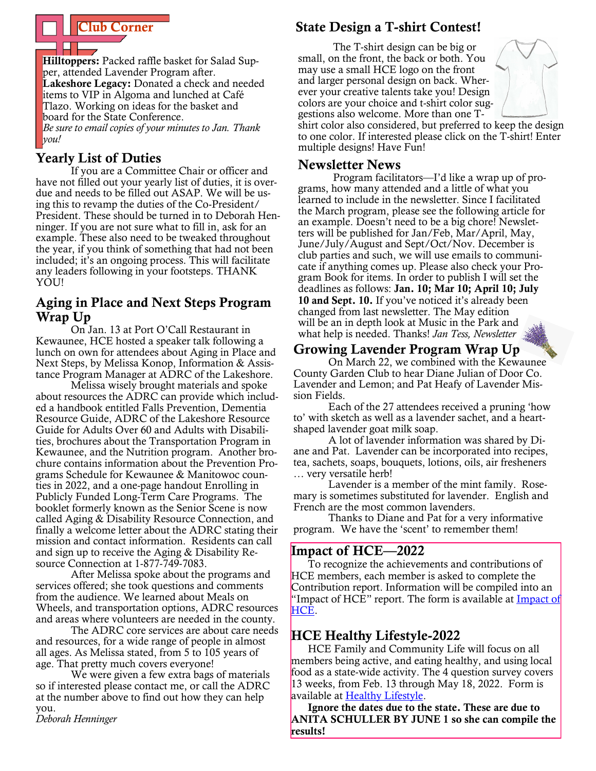

Hilltoppers: Packed raffle basket for Salad Supper, attended Lavender Program after. Lakeshore Legacy: Donated a check and needed items to VIP in Algoma and lunched at Café Tlazo. Working on ideas for the basket and board for the State Conference. *Be sure to email copies of your minutes to Jan. Thank* 

*you!*

# Yearly List of Duties

If you are a Committee Chair or officer and have not filled out your yearly list of duties, it is overdue and needs to be filled out ASAP. We will be using this to revamp the duties of the Co-President/ President. These should be turned in to Deborah Henninger. If you are not sure what to fill in, ask for an example. These also need to be tweaked throughout the year, if you think of something that had not been included; it's an ongoing process. This will facilitate any leaders following in your footsteps. THANK YOU!

## Aging in Place and Next Steps Program Wrap Up

On Jan. 13 at Port O'Call Restaurant in Kewaunee, HCE hosted a speaker talk following a lunch on own for attendees about Aging in Place and Next Steps, by Melissa Konop, Information & Assistance Program Manager at ADRC of the Lakeshore.

Melissa wisely brought materials and spoke about resources the ADRC can provide which included a handbook entitled Falls Prevention, Dementia Resource Guide, ADRC of the Lakeshore Resource Guide for Adults Over 60 and Adults with Disabilities, brochures about the Transportation Program in Kewaunee, and the Nutrition program. Another brochure contains information about the Prevention Programs Schedule for Kewaunee & Manitowoc counties in 2022, and a one-page handout Enrolling in Publicly Funded Long-Term Care Programs. The booklet formerly known as the Senior Scene is now called Aging & Disability Resource Connection, and finally a welcome letter about the ADRC stating their mission and contact information. Residents can call and sign up to receive the Aging & Disability Resource Connection at 1-877-749-7083.

After Melissa spoke about the programs and services offered; she took questions and comments from the audience. We learned about Meals on Wheels, and transportation options, ADRC resources and areas where volunteers are needed in the county.

The ADRC core services are about care needs and resources, for a wide range of people in almost all ages. As Melissa stated, from 5 to 105 years of age. That pretty much covers everyone!

We were given a few extra bags of materials so if interested please contact me, or call the ADRC at the number above to find out how they can help you.

#### *Deborah Henninger*

### State Design a T-shirt Contest!

The T-shirt design can be big or small, on the front, the back or both. You may use a small HCE logo on the front and larger personal design on back. Wherever your creative talents take you! Design colors are your choice and t-shirt color suggestions also welcome. More than one T-



shirt color also considered, but preferred to keep the design to one color. If interested please click on the T-shirt! Enter multiple designs! Have Fun!

#### Newsletter News

Program facilitators—I'd like a wrap up of programs, how many attended and a little of what you learned to include in the newsletter. Since I facilitated the March program, please see the following article for an example. Doesn't need to be a big chore! Newsletters will be published for Jan/Feb, Mar/April, May, June/July/August and Sept/Oct/Nov. December is club parties and such, we will use emails to communicate if anything comes up. Please also check your Program Book for items. In order to publish I will set the deadlines as follows: Jan. 10; Mar 10; April 10; July 10 and Sept. 10. If you've noticed it's already been changed from last newsletter. The May edition will be an in depth look at Music in the Park and what help is needed. Thanks! *Jan Tess, Newsletter* 

# Growing Lavender Program Wrap Up

On March 22, we combined with the Kewaunee County Garden Club to hear Diane Julian of Door Co. Lavender and Lemon; and Pat Heafy of Lavender Mission Fields.

Each of the 27 attendees received a pruning 'how to' with sketch as well as a lavender sachet, and a heartshaped lavender goat milk soap.

A lot of lavender information was shared by Diane and Pat. Lavender can be incorporated into recipes, tea, sachets, soaps, bouquets, lotions, oils, air fresheners … very versatile herb!

Lavender is a member of the mint family. Rosemary is sometimes substituted for lavender. English and French are the most common lavenders.

Thanks to Diane and Pat for a very informative program. We have the 'scent' to remember them!

### Impact of HCE—2022

To recognize the achievements and contributions of HCE members, each member is asked to complete the Contribution report. Information will be compiled into an "[Impact of](https://wahceinc.org/impact-of-hce/) HCE" report. The form is available at **Impact of** [HCE.](https://wahceinc.org/impact-of-hce/)

# HCE Healthy Lifestyle-2022

HCE Family and Community Life will focus on all members being active, and eating healthy, and using local food as a state-wide activity. The 4 question survey covers 13 weeks, from Feb. 13 through May 18, 2022. Form is available at [Healthy Lifestyle.](https://wahceinc.org/healthy-lifestyle/)

Ignore the dates due to the state. These are due to ANITA SCHULLER BY JUNE 1 so she can compile the results!